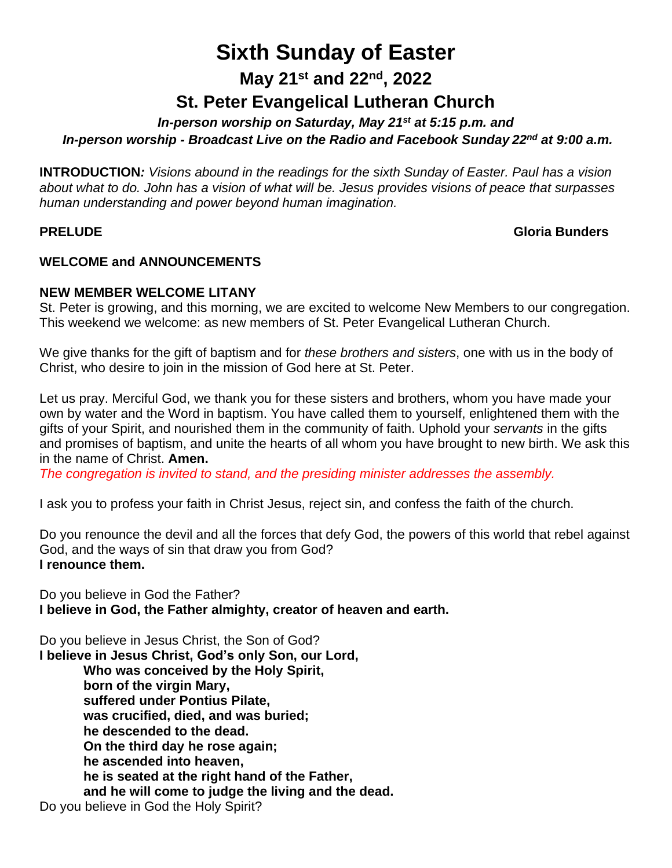# **Sixth Sunday of Easter**

**May 21st and 22nd, 2022**

# **St. Peter Evangelical Lutheran Church**

*In-person worship on Saturday, May 21st at 5:15 p.m. and*

*In-person worship - Broadcast Live on the Radio and Facebook Sunday 22nd at 9:00 a.m.*

**INTRODUCTION***: Visions abound in the readings for the sixth Sunday of Easter. Paul has a vision about what to do. John has a vision of what will be. Jesus provides visions of peace that surpasses human understanding and power beyond human imagination.*

# **PRELUDE Gloria Bunders**

## **WELCOME and ANNOUNCEMENTS**

#### **NEW MEMBER WELCOME LITANY**

St. Peter is growing, and this morning, we are excited to welcome New Members to our congregation. This weekend we welcome: as new members of St. Peter Evangelical Lutheran Church.

We give thanks for the gift of baptism and for *these brothers and sisters*, one with us in the body of Christ, who desire to join in the mission of God here at St. Peter.

Let us pray. Merciful God, we thank you for these sisters and brothers, whom you have made your own by water and the Word in baptism. You have called them to yourself, enlightened them with the gifts of your Spirit, and nourished them in the community of faith. Uphold your *servants* in the gifts and promises of baptism, and unite the hearts of all whom you have brought to new birth. We ask this in the name of Christ. **Amen.**

*The congregation is invited to stand, and the presiding minister addresses the assembly.*

I ask you to profess your faith in Christ Jesus, reject sin, and confess the faith of the church.

Do you renounce the devil and all the forces that defy God, the powers of this world that rebel against God, and the ways of sin that draw you from God? **I renounce them.**

Do you believe in God the Father? **I believe in God, the Father almighty, creator of heaven and earth.**

Do you believe in Jesus Christ, the Son of God? **I believe in Jesus Christ, God's only Son, our Lord, Who was conceived by the Holy Spirit, born of the virgin Mary, suffered under Pontius Pilate, was crucified, died, and was buried; he descended to the dead. On the third day he rose again; he ascended into heaven, he is seated at the right hand of the Father, and he will come to judge the living and the dead.** Do you believe in God the Holy Spirit?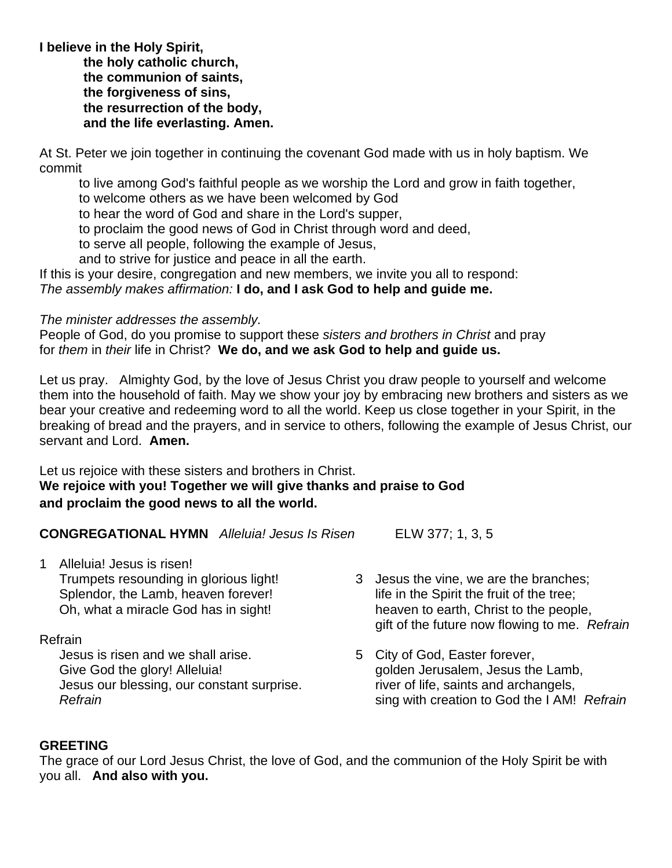**I believe in the Holy Spirit, the holy catholic church, the communion of saints, the forgiveness of sins, the resurrection of the body, and the life everlasting. Amen.**

At St. Peter we join together in continuing the covenant God made with us in holy baptism. We commit

to live among God's faithful people as we worship the Lord and grow in faith together,

to welcome others as we have been welcomed by God

to hear the word of God and share in the Lord's supper,

to proclaim the good news of God in Christ through word and deed,

to serve all people, following the example of Jesus,

and to strive for justice and peace in all the earth.

If this is your desire, congregation and new members, we invite you all to respond: *The assembly makes affirmation:* **I do, and I ask God to help and guide me.**

#### *The minister addresses the assembly.*

People of God, do you promise to support these *sisters and brothers in Christ* and pray for *them* in *their* life in Christ? **We do, and we ask God to help and guide us.**

Let us pray. Almighty God, by the love of Jesus Christ you draw people to yourself and welcome them into the household of faith. May we show your joy by embracing new brothers and sisters as we bear your creative and redeeming word to all the world. Keep us close together in your Spirit, in the breaking of bread and the prayers, and in service to others, following the example of Jesus Christ, our servant and Lord. **Amen.**

Let us rejoice with these sisters and brothers in Christ. **We rejoice with you! Together we will give thanks and praise to God and proclaim the good news to all the world.**

**CONGREGATIONAL HYMN** *Alleluia! Jesus Is Risen* ELW 377; 1, 3, 5

1 Alleluia! Jesus is risen! Trumpets resounding in glorious light! Splendor, the Lamb, heaven forever! Oh, what a miracle God has in sight!

#### Refrain

Jesus is risen and we shall arise. Give God the glory! Alleluia! Jesus our blessing, our constant surprise. *Refrain*

- 3 Jesus the vine, we are the branches; life in the Spirit the fruit of the tree; heaven to earth, Christ to the people, gift of the future now flowing to me. *Refrain*
- 5 City of God, Easter forever, golden Jerusalem, Jesus the Lamb, river of life, saints and archangels, sing with creation to God the I AM! *Refrain*

#### **GREETING**

The grace of our Lord Jesus Christ, the love of God, and the communion of the Holy Spirit be with you all. **And also with you.**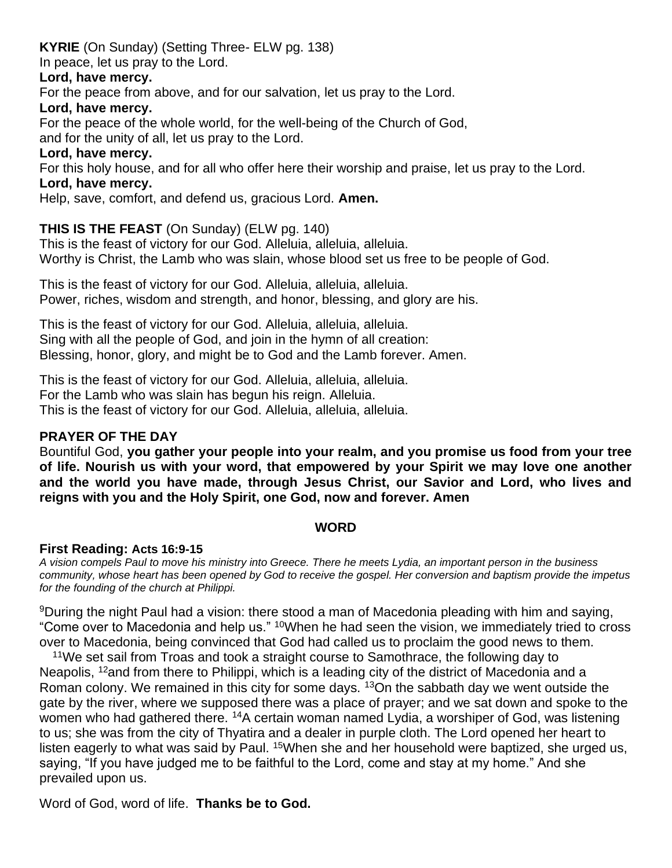# **KYRIE** (On Sunday) (Setting Three- ELW pg. 138)

In peace, let us pray to the Lord.

#### **Lord, have mercy.**

For the peace from above, and for our salvation, let us pray to the Lord.

#### **Lord, have mercy.**

For the peace of the whole world, for the well-being of the Church of God,

and for the unity of all, let us pray to the Lord.

#### **Lord, have mercy.**

For this holy house, and for all who offer here their worship and praise, let us pray to the Lord. **Lord, have mercy.**

Help, save, comfort, and defend us, gracious Lord. **Amen.**

## **THIS IS THE FEAST** (On Sunday) (ELW pg. 140)

This is the feast of victory for our God. Alleluia, alleluia, alleluia. Worthy is Christ, the Lamb who was slain, whose blood set us free to be people of God.

This is the feast of victory for our God. Alleluia, alleluia, alleluia. Power, riches, wisdom and strength, and honor, blessing, and glory are his.

This is the feast of victory for our God. Alleluia, alleluia, alleluia. Sing with all the people of God, and join in the hymn of all creation: Blessing, honor, glory, and might be to God and the Lamb forever. Amen.

This is the feast of victory for our God. Alleluia, alleluia, alleluia. For the Lamb who was slain has begun his reign. Alleluia. This is the feast of victory for our God. Alleluia, alleluia, alleluia.

## **PRAYER OF THE DAY**

Bountiful God, **you gather your people into your realm, and you promise us food from your tree of life. Nourish us with your word, that empowered by your Spirit we may love one another and the world you have made, through Jesus Christ, our Savior and Lord, who lives and reigns with you and the Holy Spirit, one God, now and forever. Amen**

#### **WORD**

#### **First Reading: Acts 16:9-15**

*A vision compels Paul to move his ministry into Greece. There he meets Lydia, an important person in the business community, whose heart has been opened by God to receive the gospel. Her conversion and baptism provide the impetus for the founding of the church at Philippi.*

<sup>9</sup>During the night Paul had a vision: there stood a man of Macedonia pleading with him and saying, "Come over to Macedonia and help us." <sup>10</sup>When he had seen the vision, we immediately tried to cross over to Macedonia, being convinced that God had called us to proclaim the good news to them.

<sup>11</sup>We set sail from Troas and took a straight course to Samothrace, the following day to Neapolis, <sup>12</sup>and from there to Philippi, which is a leading city of the district of Macedonia and a Roman colony. We remained in this city for some days. <sup>13</sup>On the sabbath day we went outside the gate by the river, where we supposed there was a place of prayer; and we sat down and spoke to the women who had gathered there. <sup>14</sup>A certain woman named Lydia, a worshiper of God, was listening to us; she was from the city of Thyatira and a dealer in purple cloth. The Lord opened her heart to listen eagerly to what was said by Paul. <sup>15</sup>When she and her household were baptized, she urged us, saying, "If you have judged me to be faithful to the Lord, come and stay at my home." And she prevailed upon us.

Word of God, word of life. **Thanks be to God.**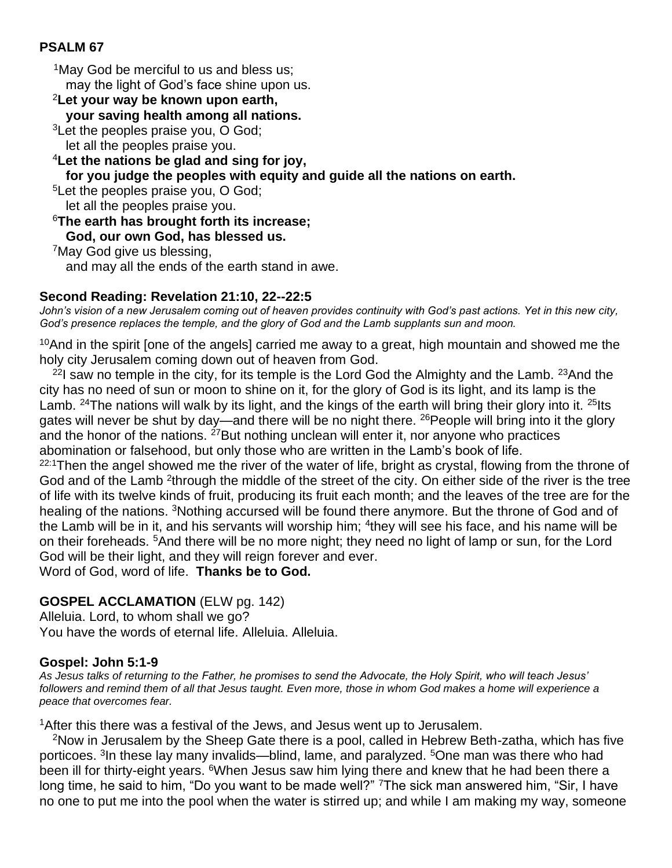## **PSALM 67**

<sup>1</sup>May God be merciful to us and bless us; may the light of God's face shine upon us. <sup>2</sup>**Let your way be known upon earth, your saving health among all nations.** <sup>3</sup>Let the peoples praise you, O God; let all the peoples praise you. <sup>4</sup>**Let the nations be glad and sing for joy, for you judge the peoples with equity and guide all the nations on earth.** <sup>5</sup>Let the peoples praise you, O God; let all the peoples praise you. <sup>6</sup>**The earth has brought forth its increase; God, our own God, has blessed us.** <sup>7</sup>May God give us blessing, and may all the ends of the earth stand in awe.

#### **Second Reading: Revelation 21:10, 22--22:5**

John's vision of a new Jerusalem coming out of heaven provides continuity with God's past actions. Yet in this new city, *God's presence replaces the temple, and the glory of God and the Lamb supplants sun and moon.*

 $10$ And in the spirit [one of the angels] carried me away to a great, high mountain and showed me the holy city Jerusalem coming down out of heaven from God.

<sup>22</sup>I saw no temple in the city, for its temple is the Lord God the Almighty and the Lamb. <sup>23</sup>And the city has no need of sun or moon to shine on it, for the glory of God is its light, and its lamp is the Lamb. <sup>24</sup>The nations will walk by its light, and the kings of the earth will bring their glory into it. <sup>25</sup>lts gates will never be shut by day—and there will be no night there. <sup>26</sup> People will bring into it the glory and the honor of the nations.  $27$  But nothing unclean will enter it, nor anyone who practices abomination or falsehood, but only those who are written in the Lamb's book of life.

22:1Then the angel showed me the river of the water of life, bright as crystal, flowing from the throne of God and of the Lamb <sup>2</sup>through the middle of the street of the city. On either side of the river is the tree of life with its twelve kinds of fruit, producing its fruit each month; and the leaves of the tree are for the healing of the nations. <sup>3</sup>Nothing accursed will be found there anymore. But the throne of God and of the Lamb will be in it, and his servants will worship him; <sup>4</sup>they will see his face, and his name will be on their foreheads. <sup>5</sup>And there will be no more night; they need no light of lamp or sun, for the Lord God will be their light, and they will reign forever and ever.

Word of God, word of life. **Thanks be to God.**

## **GOSPEL ACCLAMATION** (ELW pg. 142)

Alleluia. Lord, to whom shall we go? You have the words of eternal life. Alleluia. Alleluia.

#### **Gospel: John 5:1-9**

*As Jesus talks of returning to the Father, he promises to send the Advocate, the Holy Spirit, who will teach Jesus' followers and remind them of all that Jesus taught. Even more, those in whom God makes a home will experience a peace that overcomes fear.*

<sup>1</sup>After this there was a festival of the Jews, and Jesus went up to Jerusalem.

<sup>2</sup>Now in Jerusalem by the Sheep Gate there is a pool, called in Hebrew Beth-zatha, which has five porticoes. <sup>3</sup>In these lay many invalids—blind, lame, and paralyzed. <sup>5</sup>One man was there who had been ill for thirty-eight years. <sup>6</sup>When Jesus saw him lying there and knew that he had been there a long time, he said to him, "Do you want to be made well?" <sup>7</sup>The sick man answered him, "Sir, I have no one to put me into the pool when the water is stirred up; and while I am making my way, someone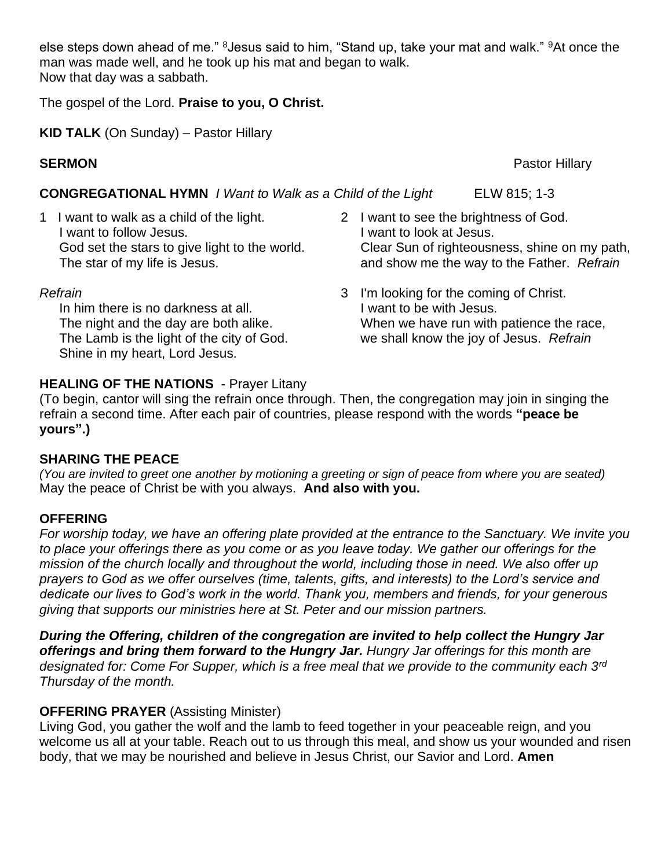else steps down ahead of me." <sup>8</sup> Jesus said to him, "Stand up, take your mat and walk." <sup>9</sup>At once the man was made well, and he took up his mat and began to walk. Now that day was a sabbath.

The gospel of the Lord. **Praise to you, O Christ.**

**KID TALK** (On Sunday) – Pastor Hillary

**CONGREGATIONAL HYMN** *I Want to Walk as a Child of the Light* ELW 815; 1-3

1 I want to walk as a child of the light. I want to follow Jesus. God set the stars to give light to the world. The star of my life is Jesus.

#### *Refrain*

In him there is no darkness at all. The night and the day are both alike. The Lamb is the light of the city of God. Shine in my heart, Lord Jesus.

- 2 I want to see the brightness of God. I want to look at Jesus. Clear Sun of righteousness, shine on my path, and show me the way to the Father. *Refrain*
- 3 I'm looking for the coming of Christ. I want to be with Jesus. When we have run with patience the race, we shall know the joy of Jesus. *Refrain*

# **HEALING OF THE NATIONS** - Prayer Litany

(To begin, cantor will sing the refrain once through. Then, the congregation may join in singing the refrain a second time. After each pair of countries, please respond with the words **"peace be yours".)**

## **SHARING THE PEACE**

*(You are invited to greet one another by motioning a greeting or sign of peace from where you are seated)* May the peace of Christ be with you always. **And also with you.**

## **OFFERING**

*For worship today, we have an offering plate provided at the entrance to the Sanctuary. We invite you to place your offerings there as you come or as you leave today. We gather our offerings for the mission of the church locally and throughout the world, including those in need. We also offer up prayers to God as we offer ourselves (time, talents, gifts, and interests) to the Lord's service and dedicate our lives to God's work in the world. Thank you, members and friends, for your generous giving that supports our ministries here at St. Peter and our mission partners.* 

*During the Offering, children of the congregation are invited to help collect the Hungry Jar offerings and bring them forward to the Hungry Jar. Hungry Jar offerings for this month are designated for: Come For Supper, which is a free meal that we provide to the community each 3rd Thursday of the month.*

# **OFFERING PRAYER** (Assisting Minister)

Living God, you gather the wolf and the lamb to feed together in your peaceable reign, and you welcome us all at your table. Reach out to us through this meal, and show us your wounded and risen body, that we may be nourished and believe in Jesus Christ, our Savior and Lord. **Amen**

**SERMON Pastor Hillary**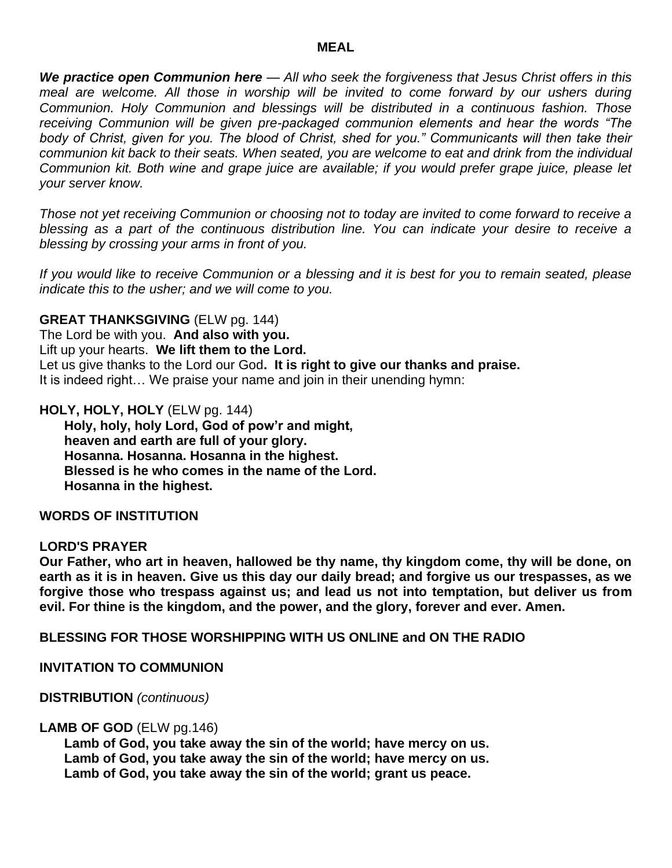#### **MEAL**

*We practice open Communion here — All who seek the forgiveness that Jesus Christ offers in this*  meal are welcome. All those in worship will be invited to come forward by our ushers during *Communion. Holy Communion and blessings will be distributed in a continuous fashion. Those receiving Communion will be given pre-packaged communion elements and hear the words "The body of Christ, given for you. The blood of Christ, shed for you." Communicants will then take their communion kit back to their seats. When seated, you are welcome to eat and drink from the individual Communion kit. Both wine and grape juice are available; if you would prefer grape juice, please let your server know.* 

*Those not yet receiving Communion or choosing not to today are invited to come forward to receive a blessing as a part of the continuous distribution line. You can indicate your desire to receive a blessing by crossing your arms in front of you.* 

*If you would like to receive Communion or a blessing and it is best for you to remain seated, please indicate this to the usher; and we will come to you.*

#### **GREAT THANKSGIVING** (ELW pg. 144)

The Lord be with you. **And also with you.**  Lift up your hearts. **We lift them to the Lord.** Let us give thanks to the Lord our God**. It is right to give our thanks and praise.** It is indeed right… We praise your name and join in their unending hymn:

**HOLY, HOLY, HOLY** (ELW pg. 144)

**Holy, holy, holy Lord, God of pow'r and might, heaven and earth are full of your glory. Hosanna. Hosanna. Hosanna in the highest. Blessed is he who comes in the name of the Lord. Hosanna in the highest.**

#### **WORDS OF INSTITUTION**

#### **LORD'S PRAYER**

**Our Father, who art in heaven, hallowed be thy name, thy kingdom come, thy will be done, on earth as it is in heaven. Give us this day our daily bread; and forgive us our trespasses, as we forgive those who trespass against us; and lead us not into temptation, but deliver us from evil. For thine is the kingdom, and the power, and the glory, forever and ever. Amen.**

**BLESSING FOR THOSE WORSHIPPING WITH US ONLINE and ON THE RADIO** 

**INVITATION TO COMMUNION** 

**DISTRIBUTION** *(continuous)* 

#### **LAMB OF GOD** (ELW pg.146)

**Lamb of God, you take away the sin of the world; have mercy on us. Lamb of God, you take away the sin of the world; have mercy on us. Lamb of God, you take away the sin of the world; grant us peace.**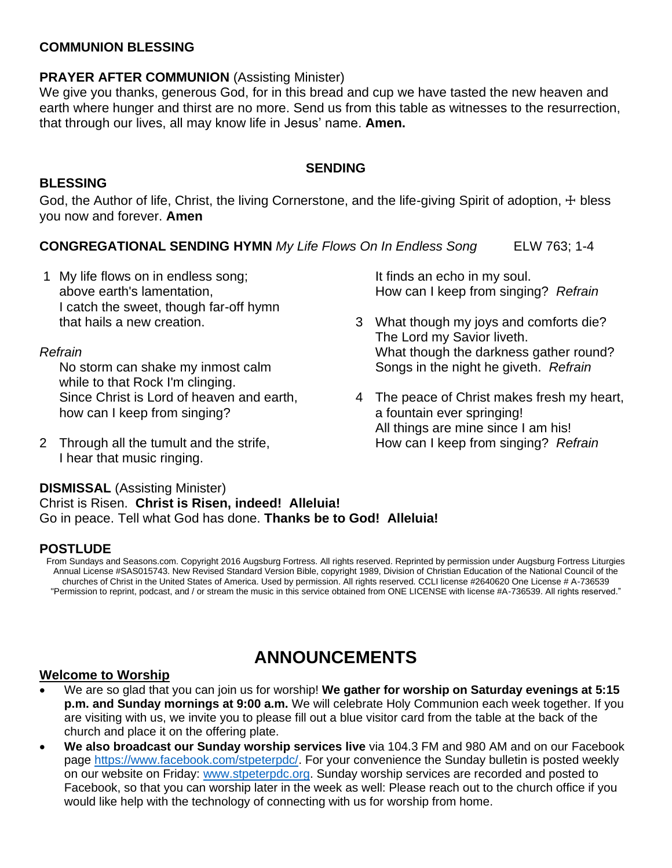### **COMMUNION BLESSING**

# **PRAYER AFTER COMMUNION** (Assisting Minister)

We give you thanks, generous God, for in this bread and cup we have tasted the new heaven and earth where hunger and thirst are no more. Send us from this table as witnesses to the resurrection, that through our lives, all may know life in Jesus' name. **Amen.**

#### **SENDING**

#### **BLESSING**

God, the Author of life, Christ, the living Cornerstone, and the life-giving Spirit of adoption, + bless you now and forever. **Amen**

## **CONGREGATIONAL SENDING HYMN** My Life Flows On In Endless Song ELW 763; 1-4

1 My life flows on in endless song; above earth's lamentation, I catch the sweet, though far-off hymn that hails a new creation.

#### *Refrain*

No storm can shake my inmost calm while to that Rock I'm clinging. Since Christ is Lord of heaven and earth, how can I keep from singing?

2 Through all the tumult and the strife, I hear that music ringing.

It finds an echo in my soul. How can I keep from singing? *Refrain*

- 3 What though my joys and comforts die? The Lord my Savior liveth. What though the darkness gather round? Songs in the night he giveth. *Refrain*
- 4 The peace of Christ makes fresh my heart, a fountain ever springing! All things are mine since I am his! How can I keep from singing? *Refrain*

#### **DISMISSAL** (Assisting Minister) Christ is Risen. **Christ is Risen, indeed! Alleluia!** Go in peace. Tell what God has done. **Thanks be to God! Alleluia!**

## **POSTLUDE**

From Sundays and Seasons.com. Copyright 2016 Augsburg Fortress. All rights reserved. Reprinted by permission under Augsburg Fortress Liturgies Annual License #SAS015743. New Revised Standard Version Bible, copyright 1989, Division of Christian Education of the National Council of the churches of Christ in the United States of America. Used by permission. All rights reserved. CCLI license #2640620 One License # A-736539 "Permission to reprint, podcast, and / or stream the music in this service obtained from ONE LICENSE with license #A-736539. All rights reserved."

# **ANNOUNCEMENTS**

#### **Welcome to Worship**

- We are so glad that you can join us for worship! **We gather for worship on Saturday evenings at 5:15 p.m. and Sunday mornings at 9:00 a.m.** We will celebrate Holy Communion each week together. If you are visiting with us, we invite you to please fill out a blue visitor card from the table at the back of the church and place it on the offering plate.
- **We also broadcast our Sunday worship services live** via 104.3 FM and 980 AM and on our Facebook page [https://www.facebook.com/stpeterpdc/.](https://www.facebook.com/stpeterpdc/) For your convenience the Sunday bulletin is posted weekly on our website on Friday: [www.stpeterpdc.org.](http://www.stpeterpdc.org/) Sunday worship services are recorded and posted to Facebook, so that you can worship later in the week as well: Please reach out to the church office if you would like help with the technology of connecting with us for worship from home.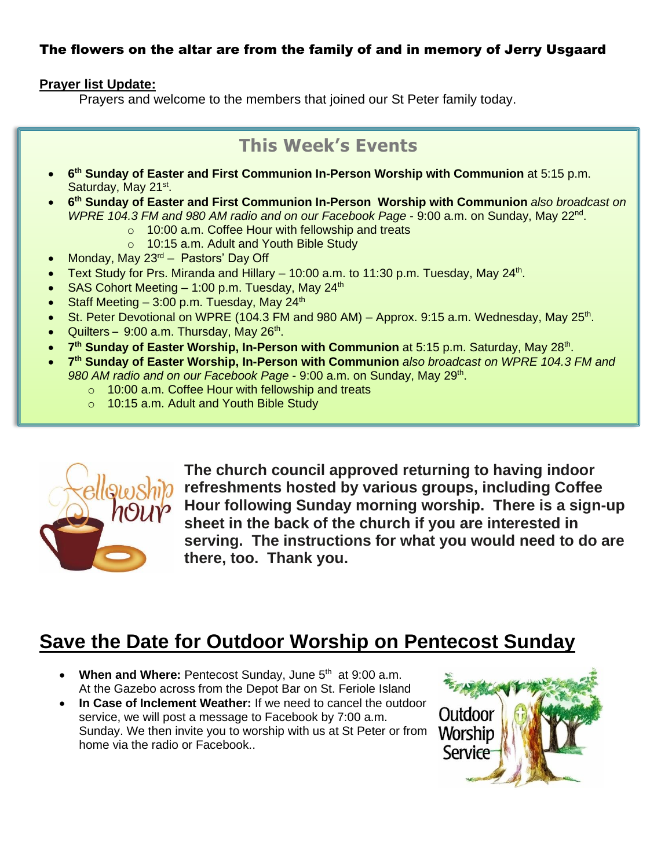# The flowers on the altar are from the family of and in memory of Jerry Usgaard

### **Prayer list Update:**

Prayers and welcome to the members that joined our St Peter family today.

# **This Week's Events**

- **6 th Sunday of Easter and First Communion In-Person Worship with Communion** at 5:15 p.m. Saturday, May 21<sup>st</sup>.
- **6 th Sunday of Easter and First Communion In-Person Worship with Communion** *also broadcast on WPRE 104.3 FM and 980 AM radio and on our Facebook Page* - 9:00 a.m. on Sunday, May 22nd .
	- o 10:00 a.m. Coffee Hour with fellowship and treats
	- o 10:15 a.m. Adult and Youth Bible Study
- Monday, May  $23<sup>rd</sup>$  Pastors' Day Off
- Text Study for Prs. Miranda and Hillary  $-10:00$  a.m. to 11:30 p.m. Tuesday, May 24<sup>th</sup>.
- SAS Cohort Meeting  $-1:00$  p.m. Tuesday, May 24<sup>th</sup>
- Staff Meeting  $-3:00$  p.m. Tuesday, May 24<sup>th</sup>
- St. Peter Devotional on WPRE (104.3 FM and 980 AM) Approx. 9:15 a.m. Wednesday, May 25<sup>th</sup>.
- Quilters 9:00 a.m. Thursday, May 26<sup>th</sup>.
- 7<sup>th</sup> Sunday of Easter Worship, In-Person with Communion at 5:15 p.m. Saturday, May 28<sup>th</sup>.
- **7 th Sunday of Easter Worship, In-Person with Communion** *also broadcast on WPRE 104.3 FM and 980 AM radio and on our Facebook Page* - 9:00 a.m. on Sunday, May 29th .
	- o 10:00 a.m. Coffee Hour with fellowship and treats
	- o 10:15 a.m. Adult and Youth Bible Study



**The church council approved returning to having indoor refreshments hosted by various groups, including Coffee Hour following Sunday morning worship. There is a sign-up sheet in the back of the church if you are interested in serving. The instructions for what you would need to do are there, too. Thank you.**

# **Save the Date for Outdoor Worship on Pentecost Sunday**

- When and Where: Pentecost Sunday, June 5<sup>th</sup> at 9:00 a.m. At the Gazebo across from the Depot Bar on St. Feriole Island
- **In Case of Inclement Weather:** If we need to cancel the outdoor service, we will post a message to Facebook by 7:00 a.m. Sunday. We then invite you to worship with us at St Peter or from home via the radio or Facebook..

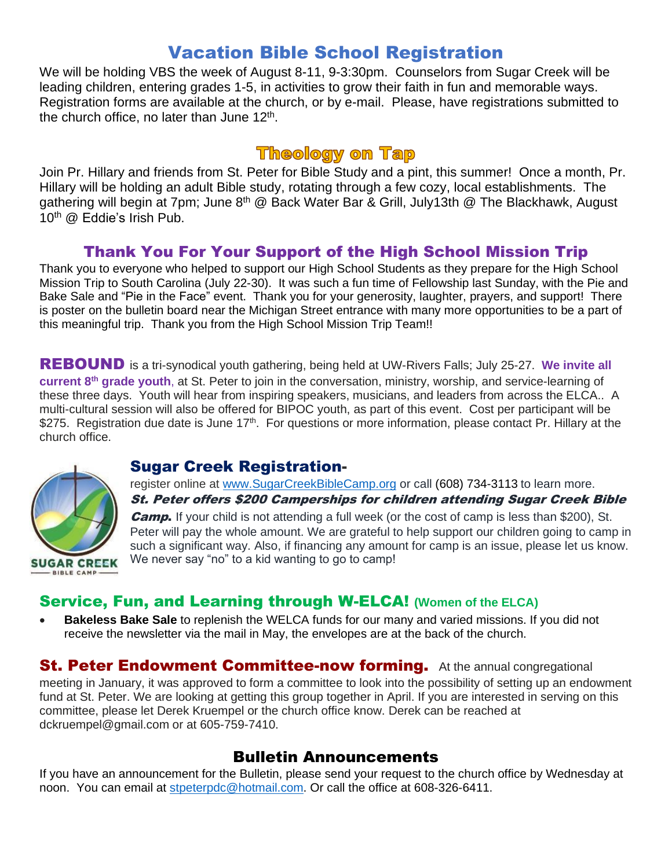# Vacation Bible School Registration

We will be holding VBS the week of August 8-11, 9-3:30pm. Counselors from Sugar Creek will be leading children, entering grades 1-5, in activities to grow their faith in fun and memorable ways. Registration forms are available at the church, or by e-mail. Please, have registrations submitted to the church office, no later than June 12<sup>th</sup>.

# **Theology on Tap**

Join Pr. Hillary and friends from St. Peter for Bible Study and a pint, this summer! Once a month, Pr. Hillary will be holding an adult Bible study, rotating through a few cozy, local establishments. The gathering will begin at 7pm; June 8<sup>th</sup> @ Back Water Bar & Grill, July13th @ The Blackhawk, August 10<sup>th</sup> @ Eddie's Irish Pub.

# Thank You For Your Support of the High School Mission Trip

Thank you to everyone who helped to support our High School Students as they prepare for the High School Mission Trip to South Carolina (July 22-30). It was such a fun time of Fellowship last Sunday, with the Pie and Bake Sale and "Pie in the Face" event. Thank you for your generosity, laughter, prayers, and support! There is poster on the bulletin board near the Michigan Street entrance with many more opportunities to be a part of this meaningful trip. Thank you from the High School Mission Trip Team!!

REBOUND is a tri-synodical youth gathering, being held at UW-Rivers Falls; July 25-27. **We invite all current 8 th grade youth**, at St. Peter to join in the conversation, ministry, worship, and service-learning of these three days. Youth will hear from inspiring speakers, musicians, and leaders from across the ELCA.. A multi-cultural session will also be offered for BIPOC youth, as part of this event. Cost per participant will be \$275. Registration due date is June 17<sup>th</sup>. For questions or more information, please contact Pr. Hillary at the church office.



# Sugar Creek Registration-

register online at [www.SugarCreekBibleCamp.org](http://www.sugarcreekbiblecamp.org/) or call (608) 734-3113 to learn more. St. Peter offers \$200 Camperships for children attending Sugar Creek Bible **Camp.** If your child is not attending a full week (or the cost of camp is less than \$200), St. Peter will pay the whole amount. We are grateful to help support our children going to camp in such a significant way. Also, if financing any amount for camp is an issue, please let us know. We never say "no" to a kid wanting to go to camp!

# Service, Fun, and Learning through W-ELCA! **(Women of the ELCA)**

• **Bakeless Bake Sale** to replenish the WELCA funds for our many and varied missions. If you did not receive the newsletter via the mail in May, the envelopes are at the back of the church.

**St. Peter Endowment Committee-now forming.** At the annual congregational meeting in January, it was approved to form a committee to look into the possibility of setting up an endowment fund at St. Peter. We are looking at getting this group together in April. If you are interested in serving on this committee, please let Derek Kruempel or the church office know. Derek can be reached at dckruempel@gmail.com or at 605-759-7410.

# Bulletin Announcements

If you have an announcement for the Bulletin, please send your request to the church office by Wednesday at noon. You can email at [stpeterpdc@hotmail.com.](mailto:stpeterpdc@hotmail.com) Or call the office at 608-326-6411.